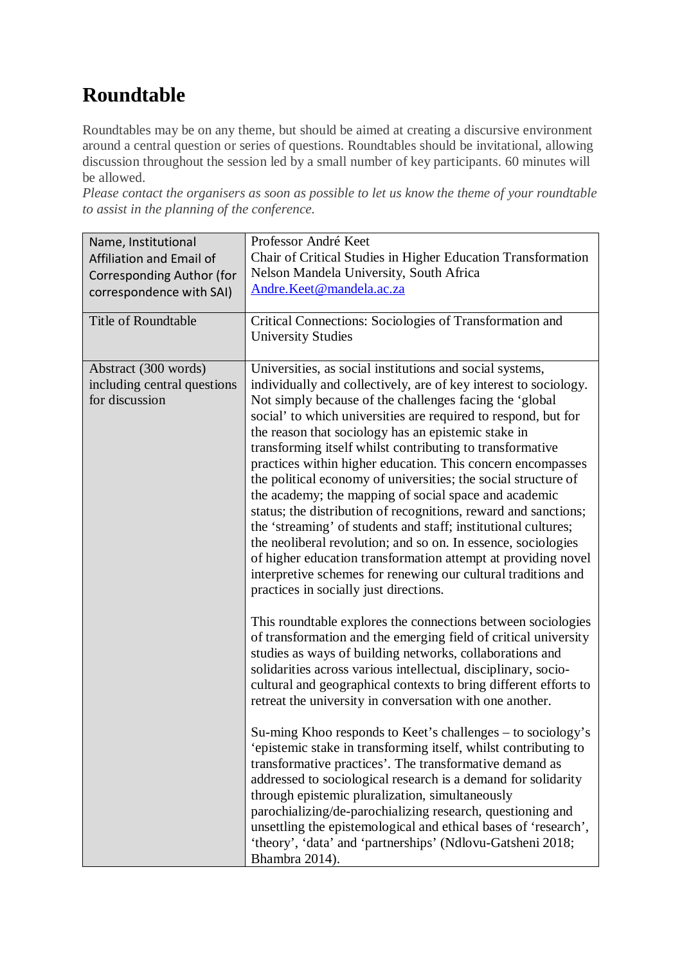## **Roundtable**

Roundtables may be on any theme, but should be aimed at creating a discursive environment around a central question or series of questions. Roundtables should be invitational, allowing discussion throughout the session led by a small number of key participants. 60 minutes will be allowed.

*Please contact the organisers as soon as possible to let us know the theme of your roundtable to assist in the planning of the conference.* 

| Name, Institutional<br>Affiliation and Email of                       | Professor André Keet<br>Chair of Critical Studies in Higher Education Transformation                                                                                                                                                                                                                                                                                                                                                                                                                                                                                                                                                                                                                                                                                                                                                                                                                                                                                                                                                                                                                                                                                                                                                                                                                                                                                                                                                                                                                                                                    |
|-----------------------------------------------------------------------|---------------------------------------------------------------------------------------------------------------------------------------------------------------------------------------------------------------------------------------------------------------------------------------------------------------------------------------------------------------------------------------------------------------------------------------------------------------------------------------------------------------------------------------------------------------------------------------------------------------------------------------------------------------------------------------------------------------------------------------------------------------------------------------------------------------------------------------------------------------------------------------------------------------------------------------------------------------------------------------------------------------------------------------------------------------------------------------------------------------------------------------------------------------------------------------------------------------------------------------------------------------------------------------------------------------------------------------------------------------------------------------------------------------------------------------------------------------------------------------------------------------------------------------------------------|
| Corresponding Author (for                                             | Nelson Mandela University, South Africa                                                                                                                                                                                                                                                                                                                                                                                                                                                                                                                                                                                                                                                                                                                                                                                                                                                                                                                                                                                                                                                                                                                                                                                                                                                                                                                                                                                                                                                                                                                 |
| correspondence with SAI)                                              | Andre.Keet@mandela.ac.za                                                                                                                                                                                                                                                                                                                                                                                                                                                                                                                                                                                                                                                                                                                                                                                                                                                                                                                                                                                                                                                                                                                                                                                                                                                                                                                                                                                                                                                                                                                                |
| <b>Title of Roundtable</b>                                            | Critical Connections: Sociologies of Transformation and<br><b>University Studies</b>                                                                                                                                                                                                                                                                                                                                                                                                                                                                                                                                                                                                                                                                                                                                                                                                                                                                                                                                                                                                                                                                                                                                                                                                                                                                                                                                                                                                                                                                    |
| Abstract (300 words)<br>including central questions<br>for discussion | Universities, as social institutions and social systems,<br>individually and collectively, are of key interest to sociology.<br>Not simply because of the challenges facing the 'global<br>social' to which universities are required to respond, but for<br>the reason that sociology has an epistemic stake in<br>transforming itself whilst contributing to transformative<br>practices within higher education. This concern encompasses<br>the political economy of universities; the social structure of<br>the academy; the mapping of social space and academic<br>status; the distribution of recognitions, reward and sanctions;<br>the 'streaming' of students and staff; institutional cultures;<br>the neoliberal revolution; and so on. In essence, sociologies<br>of higher education transformation attempt at providing novel<br>interpretive schemes for renewing our cultural traditions and<br>practices in socially just directions.<br>This roundtable explores the connections between sociologies<br>of transformation and the emerging field of critical university<br>studies as ways of building networks, collaborations and<br>solidarities across various intellectual, disciplinary, socio-<br>cultural and geographical contexts to bring different efforts to<br>retreat the university in conversation with one another.<br>Su-ming Khoo responds to Keet's challenges – to sociology's<br>'epistemic stake in transforming itself, whilst contributing to<br>transformative practices'. The transformative demand as |
|                                                                       | addressed to sociological research is a demand for solidarity<br>through epistemic pluralization, simultaneously<br>parochializing/de-parochializing research, questioning and<br>unsettling the epistemological and ethical bases of 'research',                                                                                                                                                                                                                                                                                                                                                                                                                                                                                                                                                                                                                                                                                                                                                                                                                                                                                                                                                                                                                                                                                                                                                                                                                                                                                                       |
|                                                                       | 'theory', 'data' and 'partnerships' (Ndlovu-Gatsheni 2018;<br>Bhambra 2014).                                                                                                                                                                                                                                                                                                                                                                                                                                                                                                                                                                                                                                                                                                                                                                                                                                                                                                                                                                                                                                                                                                                                                                                                                                                                                                                                                                                                                                                                            |